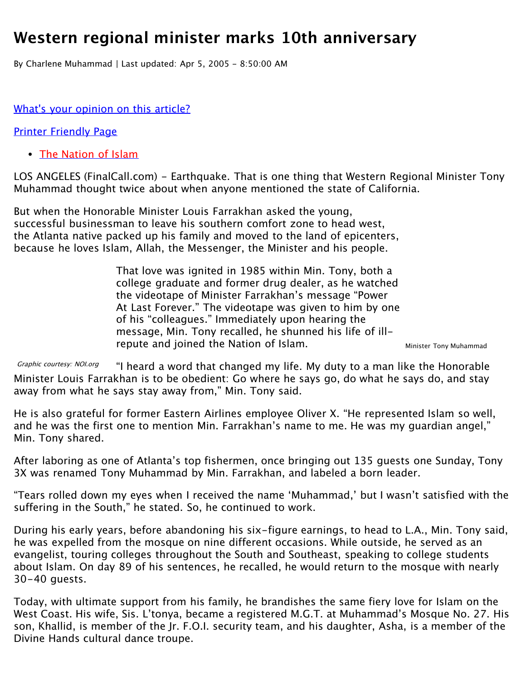## **Western regional minister marks 10th anniversary**

By Charlene Muhammad | Last updated: Apr 5, 2005 - 8:50:00 AM

away from what he says stay away from," Min. Tony said.

## What['s your opinion on this article?](http://www.finalcall.com/artman/publish/contactus/contactus.shtml)

[Printer Friendly Page](http://www.finalcall.com/artman/publish/printer_1899.shtml)

• [The Nation of Islam](http://www.noi.org/)

LOS ANGELES (FinalCall.com) - Earthquake. That is one thing that Western Regional Minister Tony Muhammad thought twice about when anyone mentioned the state of California.

But when the Honorable Minister Louis Farrakhan asked the young, successful businessman to leave his southern comfort zone to head west, the Atlanta native packed up his family and moved to the land of epicenters, because he loves Islam, Allah, the Messenger, the Minister and his people.

> Minister Tony Muhammad That love was ignited in 1985 within Min. Tony, both a college graduate and former drug dealer, as he watched the videotape of Minister Farrakhan's message "Power At Last Forever." The videotape was given to him by one of his "colleagues." Immediately upon hearing the message, Min. Tony recalled, he shunned his life of illrepute and joined the Nation of Islam.

Graphic courtesy: NOI.org "I heard a word that changed my life. My duty to a man like the Honorable Minister Louis Farrakhan is to be obedient: Go where he says go, do what he says do, and stay

He is also grateful for former Eastern Airlines employee Oliver X. "He represented Islam so well, and he was the first one to mention Min. Farrakhan's name to me. He was my guardian angel," Min. Tony shared.

After laboring as one of Atlanta's top fishermen, once bringing out 135 guests one Sunday, Tony 3X was renamed Tony Muhammad by Min. Farrakhan, and labeled a born leader.

"Tears rolled down my eyes when I received the name 'Muhammad,' but I wasn't satisfied with the suffering in the South," he stated. So, he continued to work.

During his early years, before abandoning his six-figure earnings, to head to L.A., Min. Tony said, he was expelled from the mosque on nine different occasions. While outside, he served as an evangelist, touring colleges throughout the South and Southeast, speaking to college students about Islam. On day 89 of his sentences, he recalled, he would return to the mosque with nearly 30-40 guests.

Today, with ultimate support from his family, he brandishes the same fiery love for Islam on the West Coast. His wife, Sis. L'tonya, became a registered M.G.T. at Muhammad's Mosque No. 27. His son, Khallid, is member of the Jr. F.O.I. security team, and his daughter, Asha, is a member of the Divine Hands cultural dance troupe.